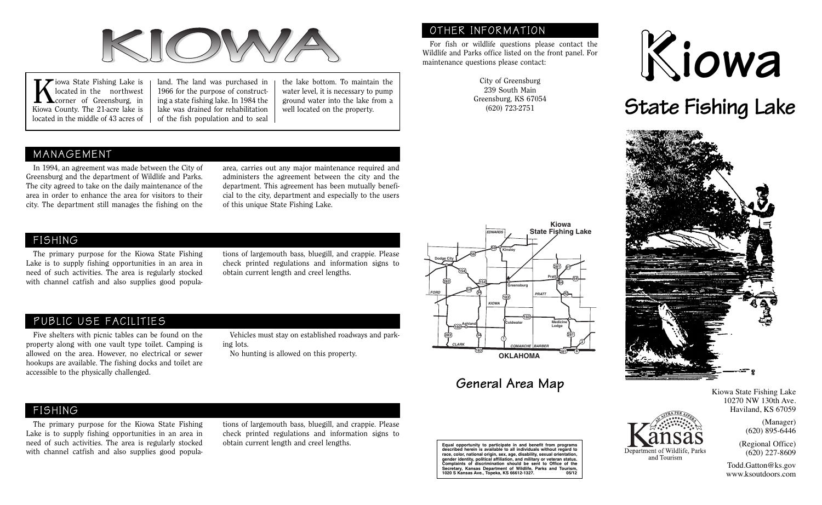

iowa State Fishing Lake is located in the northwest corner of Greensburg, in Kiowa County. The 21-acre lake is located in the middle of 43 acres of

land. The land was purchased in 1966 for the purpose of constructing a state fishing lake. In 1984 the lake was drained for rehabilitation of the fish population and to seal

the lake bottom. To maintain the water level, it is necessary to pump ground water into the lake from a well located on the property.

## MANAGEMENT

In 1994, an agreement was made between the City of Greensburg and the department of Wildlife and Parks. The city agreed to take on the daily maintenance of the area in order to enhance the area for visitors to their city. The department still manages the fishing on the area, carries out any major maintenance required and administers the agreement between the city and the department. This agreement has been mutually beneficial to the city, department and especially to the users of this unique State Fishing Lake.

## FISHING

The primary purpose for the Kiowa State Fishing Lake is to supply fishing opportunities in an area in need of such activities. The area is regularly stocked with channel catfish and also supplies good populations of largemouth bass, bluegill, and crappie. Please check printed regulations and information signs to obtain current length and creel lengths.

## PUBLIC USE FACILITIES

Five shelters with picnic tables can be found on the property along with one vault type toilet. Camping is allowed on the area. However, no electrical or sewer hookups are available. The fishing docks and toilet are accessible to the physically challenged.

Vehicles must stay on established roadways and parking lots.

No hunting is allowed on this property.



OTHER INFORMATION

maintenance questions please contact:

For fish or wildlife questions please contact the Wildlife and Parks office listed on the front panel. For

> City of Greensburg 239 South Main Greensburg, KS 67054 (620) 723-2751

## **General Area Map**





**State Fishing Lake** 



and Tourism

Kiowa State Fishing Lake 10270 NW 130th Ave. Haviland, KS 67059

> (Manager) (620) 895-6446

(Regional Office) (620) 227-8609

Todd.Gatton@ks.gov www.ksoutdoors.com

FISHING

The primary purpose for the Kiowa State Fishing Lake is to supply fishing opportunities in an area in need of such activities. The area is regularly stocked with channel catfish and also supplies good populations of largemouth bass, bluegill, and crappie. Please check printed regulations and information signs to obtain current length and creel lengths.